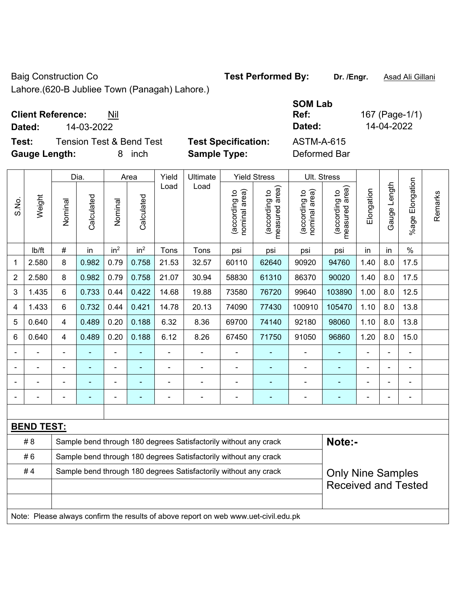Baig Construction Co **Test Performed By:** Dr. /Engr. **Asad Ali Gillani** 

Lahore.(620-B Jubliee Town (Panagah) Lahore.)

## **Client Reference:** Nil

**Test:** Tension Test & Bend Test **Test Specification:** ASTM-A-615 **Gauge Length:** 8 inch **Sample Type:** Deformed Bar

|                                                                        | Dia.<br>Area                                                                        |                          |                | Yield           | Ultimate        |                          | <b>Yield Stress</b>                                              | Ult. Stress                    |                                 |                                |                                             |            |                |                          |         |
|------------------------------------------------------------------------|-------------------------------------------------------------------------------------|--------------------------|----------------|-----------------|-----------------|--------------------------|------------------------------------------------------------------|--------------------------------|---------------------------------|--------------------------------|---------------------------------------------|------------|----------------|--------------------------|---------|
| S.No.                                                                  | Weight                                                                              | Nominal                  | Calculated     | Nominal         | Calculated      | Load                     | Load                                                             | nominal area)<br>(according to | (according to<br>measured area) | (according to<br>nominal area) | (according to<br>measured area)<br>measured | Elongation | Gauge Length   | Elongation<br>$%$ age    | Remarks |
|                                                                        | Ib/ft                                                                               | $\#$                     | in             | in <sup>2</sup> | in <sup>2</sup> | Tons                     | Tons                                                             | psi                            | psi                             | psi                            | psi                                         | in         | in             | $\%$                     |         |
| $\mathbf{1}$                                                           | 2.580                                                                               | 8                        | 0.982          | 0.79            | 0.758           | 21.53                    | 32.57                                                            | 60110                          | 62640                           | 90920                          | 94760                                       | 1.40       | 8.0            | 17.5                     |         |
| 2                                                                      | 2.580                                                                               | 8                        | 0.982          | 0.79            | 0.758           | 21.07                    | 30.94                                                            | 58830                          | 61310                           | 86370                          | 90020                                       | 1.40       | 8.0            | 17.5                     |         |
| 3                                                                      | 1.435                                                                               | $\,6\,$                  | 0.733          | 0.44            | 0.422           | 14.68                    | 19.88                                                            | 73580                          | 76720                           | 99640                          | 103890                                      | 1.00       | 8.0            | 12.5                     |         |
| 4                                                                      | 1.433                                                                               | $6\phantom{1}$           | 0.732          | 0.44            | 0.421           | 14.78                    | 20.13                                                            | 74090                          | 77430                           | 100910                         | 105470                                      | 1.10       | 8.0            | 13.8                     |         |
| 5                                                                      | 0.640                                                                               | $\overline{\mathbf{4}}$  | 0.489          | 0.20            | 0.188           | 6.32                     | 8.36                                                             | 69700                          | 74140                           | 92180                          | 98060                                       | 1.10       | 8.0            | 13.8                     |         |
| 6                                                                      | 0.640                                                                               | $\overline{4}$           | 0.489          | 0.20            | 0.188           | 6.12                     | 8.26                                                             | 67450                          | 71750                           | 91050                          | 96860                                       | 1.20       | 8.0            | 15.0                     |         |
|                                                                        |                                                                                     | ä,                       |                | ä,              |                 |                          | ä,                                                               |                                |                                 |                                |                                             |            |                |                          |         |
| $\blacksquare$                                                         |                                                                                     | $\overline{\phantom{0}}$ | $\blacksquare$ | $\blacksquare$  |                 | $\overline{\phantom{0}}$ | ÷                                                                | $\blacksquare$                 | ۰                               | $\overline{a}$                 |                                             |            | $\blacksquare$ | $\overline{\phantom{0}}$ |         |
|                                                                        |                                                                                     |                          |                | $\blacksquare$  | ٠               |                          | $\blacksquare$                                                   | $\blacksquare$                 | ٠                               |                                |                                             |            |                | $\blacksquare$           |         |
|                                                                        |                                                                                     |                          |                | $\blacksquare$  |                 | ÷                        | $\blacksquare$                                                   |                                |                                 |                                |                                             |            |                |                          |         |
|                                                                        |                                                                                     |                          |                |                 |                 |                          |                                                                  |                                |                                 |                                |                                             |            |                |                          |         |
|                                                                        | <b>BEND TEST:</b>                                                                   |                          |                |                 |                 |                          |                                                                  |                                |                                 |                                |                                             |            |                |                          |         |
|                                                                        | #8                                                                                  |                          |                |                 |                 |                          | Sample bend through 180 degrees Satisfactorily without any crack |                                |                                 |                                | Note:-                                      |            |                |                          |         |
| #6<br>Sample bend through 180 degrees Satisfactorily without any crack |                                                                                     |                          |                |                 |                 |                          |                                                                  |                                |                                 |                                |                                             |            |                |                          |         |
|                                                                        | #4                                                                                  |                          |                |                 |                 |                          | Sample bend through 180 degrees Satisfactorily without any crack |                                |                                 |                                | <b>Only Nine Samples</b>                    |            |                |                          |         |
|                                                                        |                                                                                     |                          |                |                 |                 |                          |                                                                  |                                |                                 |                                | <b>Received and Tested</b>                  |            |                |                          |         |
|                                                                        |                                                                                     |                          |                |                 |                 |                          |                                                                  |                                |                                 |                                |                                             |            |                |                          |         |
|                                                                        | Note: Please always confirm the results of above report on web www.uet-civil.edu.pk |                          |                |                 |                 |                          |                                                                  |                                |                                 |                                |                                             |            |                |                          |         |

**SOM Lab Ref:** 167 (Page-1/1) **Dated:** 14-03-2022 **Dated:** 14-04-2022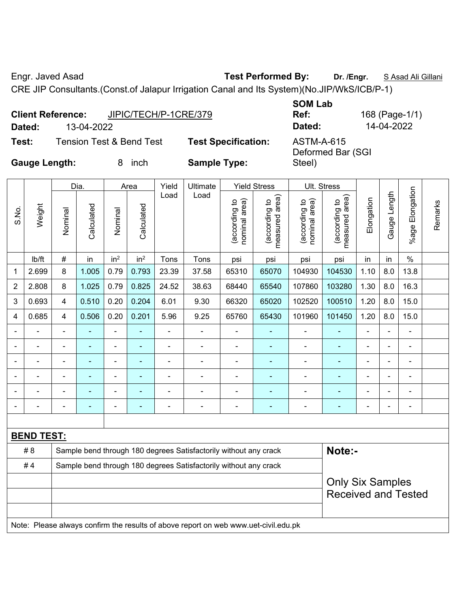Engr. Javed Asad **Test Performed By: Dr. /Engr.** S Asad Ali Gillani

CRE JIP Consultants.(Const.of Jalapur Irrigation Canal and Its System)(No.JIP/WkS/ICB/P-1)

|                      | <b>Client Reference:</b> | JIPIC/TECH/P-1CRE/379               |                            | <b>SOM Lab</b><br>Ref:                 | 168 (Page-1/1) |
|----------------------|--------------------------|-------------------------------------|----------------------------|----------------------------------------|----------------|
| Dated:               | 13-04-2022               |                                     |                            | Dated:                                 | 14-04-2022     |
| Test:                |                          | <b>Tension Test &amp; Bend Test</b> | <b>Test Specification:</b> | <b>ASTM-A-615</b><br>Deformed Bar (SGI |                |
| <b>Gauge Length:</b> |                          | inch                                | <b>Sample Type:</b>        | Steel)                                 |                |

|                |                                                                                     |                | Dia.           |                 | Area            | Yield                    | <b>Ultimate</b>                                                  |                                | <b>Yield Stress</b>             |                                | Ult. Stress                     |                |              |                 |         |
|----------------|-------------------------------------------------------------------------------------|----------------|----------------|-----------------|-----------------|--------------------------|------------------------------------------------------------------|--------------------------------|---------------------------------|--------------------------------|---------------------------------|----------------|--------------|-----------------|---------|
| S.No.          | Weight                                                                              | Nominal        | Calculated     | Nominal         | Calculated      | Load                     | Load                                                             | nominal area)<br>(according to | measured area)<br>(according to | nominal area)<br>(according to | measured area)<br>(according to | Elongation     | Gauge Length | %age Elongation | Remarks |
|                | lb/ft                                                                               | #              | in             | in <sup>2</sup> | in <sup>2</sup> | Tons                     | Tons                                                             | psi                            | psi                             | psi                            | psi                             | in             | in           | $\%$            |         |
| 1              | 2.699                                                                               | 8              | 1.005          | 0.79            | 0.793           | 23.39                    | 37.58                                                            | 65310                          | 65070                           | 104930                         | 104530                          | 1.10           | 8.0          | 13.8            |         |
| $\overline{2}$ | 2.808                                                                               | 8              | 1.025          | 0.79            | 0.825           | 24.52                    | 38.63                                                            | 68440                          | 65540                           | 107860                         | 103280                          | 1.30           | 8.0          | 16.3            |         |
| 3              | 0.693                                                                               | 4              | 0.510          | 0.20            | 0.204           | 6.01                     | 9.30                                                             | 66320                          | 65020                           | 102520                         | 100510                          | 1.20           | 8.0          | 15.0            |         |
| 4              | 0.685                                                                               | $\overline{4}$ | 0.506          | 0.20            | 0.201           | 5.96                     | 9.25                                                             | 65760                          | 65430                           | 101960                         | 101450                          | 1.20           | 8.0          | 15.0            |         |
|                |                                                                                     | $\blacksquare$ | ä,             | $\blacksquare$  | ä,              | $\overline{\phantom{0}}$ | ÷,                                                               | L,                             | Ē,                              | ÷,                             | ä,                              | $\blacksquare$ | Ĭ.           | ä,              |         |
|                |                                                                                     |                | $\blacksquare$ | ä,              |                 | $\blacksquare$           | $\blacksquare$                                                   |                                |                                 |                                |                                 |                |              | $\blacksquare$  |         |
|                |                                                                                     |                |                | ÷               |                 |                          | $\blacksquare$                                                   |                                |                                 | $\blacksquare$                 | $\blacksquare$                  |                |              |                 |         |
|                |                                                                                     |                |                |                 |                 |                          |                                                                  |                                |                                 |                                |                                 |                |              |                 |         |
|                |                                                                                     |                |                | $\blacksquare$  |                 | $\blacksquare$           | $\blacksquare$                                                   | $\blacksquare$                 |                                 | $\blacksquare$                 |                                 |                |              | $\blacksquare$  |         |
|                |                                                                                     |                |                | ۰               |                 | ÷                        | $\blacksquare$                                                   | Ē,                             | ٠                               | ٠                              | $\overline{\phantom{0}}$        | ٠              | ÷            | $\blacksquare$  |         |
|                |                                                                                     |                |                |                 |                 |                          |                                                                  |                                |                                 |                                |                                 |                |              |                 |         |
|                | <b>BEND TEST:</b>                                                                   |                |                |                 |                 |                          |                                                                  |                                |                                 |                                |                                 |                |              |                 |         |
|                | #8                                                                                  |                |                |                 |                 |                          | Sample bend through 180 degrees Satisfactorily without any crack |                                |                                 |                                | Note:-                          |                |              |                 |         |
|                | #4                                                                                  |                |                |                 |                 |                          | Sample bend through 180 degrees Satisfactorily without any crack |                                |                                 |                                |                                 |                |              |                 |         |
|                | <b>Only Six Samples</b>                                                             |                |                |                 |                 |                          |                                                                  |                                |                                 |                                |                                 |                |              |                 |         |
|                |                                                                                     |                |                |                 |                 |                          |                                                                  |                                |                                 |                                | <b>Received and Tested</b>      |                |              |                 |         |
|                |                                                                                     |                |                |                 |                 |                          |                                                                  |                                |                                 |                                |                                 |                |              |                 |         |
|                | Note: Please always confirm the results of above report on web www.uet-civil.edu.pk |                |                |                 |                 |                          |                                                                  |                                |                                 |                                |                                 |                |              |                 |         |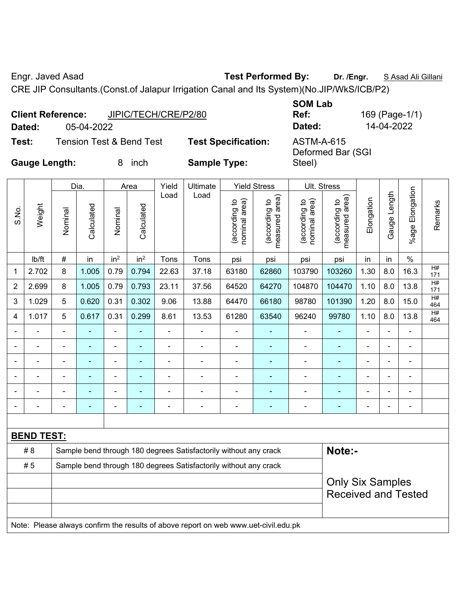Engr. Javed Asad **Test Performed By:** Dr. /Engr. **SAsad Ali Gillani** By: Dr. /Engr. **SAsad Ali Gillani** 

CRE JIP Consultants.(Const.of Jalapur Irrigation Canal and Its System)(No.JIP/WkS/ICB/P2)

| <b>Client Reference:</b> | JIPIC/TECH/CRE/P2/80                |                            | <b>SOM Lab</b><br>Ref:          | 169 (Page-1/1) |
|--------------------------|-------------------------------------|----------------------------|---------------------------------|----------------|
| Dated:                   | 05-04-2022                          |                            | Dated:                          | 14-04-2022     |
| Test:                    | <b>Tension Test &amp; Bend Test</b> | <b>Test Specification:</b> | ASTM-A-615<br>Deformed Bar (SGI |                |
| <b>Gauge Length:</b>     | inch<br>8.                          | <b>Sample Type:</b>        | Steel)                          |                |

|                |                   |                | Dia.                     |                 | Area            | Yield | Ultimate                                                                            |                               | <b>Yield Stress</b>             |                                | Ult. Stress                     |                |                |                 |           |
|----------------|-------------------|----------------|--------------------------|-----------------|-----------------|-------|-------------------------------------------------------------------------------------|-------------------------------|---------------------------------|--------------------------------|---------------------------------|----------------|----------------|-----------------|-----------|
| S.No.          | Weight            | Nominal        | Calculated               | Nominal         | Calculated      | Load  | Load                                                                                | nominal area)<br>according to | (according to<br>measured area) | nominal area)<br>(according to | (according to<br>measured area) | Elongation     | Gauge Length   | %age Elongation | Remarks   |
|                | Ib/ft             | #              | in                       | in <sup>2</sup> | in <sup>2</sup> | Tons  | Tons                                                                                | psi                           | psi                             | psi                            | psi                             | in             | in             | $\%$            |           |
| 1              | 2.702             | 8              | 1.005                    | 0.79            | 0.794           | 22.63 | 37.18                                                                               | 63180                         | 62860                           | 103790                         | 103260                          | 1.30           | 8.0            | 16.3            | H#<br>171 |
| $\overline{2}$ | 2.699             | 8              | 1.005                    | 0.79            | 0.793           | 23.11 | 37.56                                                                               | 64520                         | 64270                           | 104870                         | 104470                          | 1.10           | 8.0            | 13.8            | H#<br>171 |
| 3              | 1.029             | 5              | 0.620                    | 0.31            | 0.302           | 9.06  | 13.88                                                                               | 64470                         | 66180                           | 98780                          | 101390                          | 1.20           | 8.0            | 15.0            | H#<br>464 |
| 4              | 1.017             | 5              | 0.617                    | 0.31            | 0.299           | 8.61  | 13.53                                                                               | 61280                         | 63540                           | 96240                          | 99780                           | 1.10           | 8.0            | 13.8            | H#<br>464 |
|                | ä,                | $\blacksquare$ | ä,                       | L,              |                 | ä,    | ä,                                                                                  | ä,                            |                                 | Ĭ.                             | $\blacksquare$                  | $\overline{a}$ | $\blacksquare$ | ä,              |           |
|                |                   |                | ۰                        | $\blacksquare$  |                 |       | $\blacksquare$                                                                      | $\blacksquare$                |                                 |                                |                                 |                |                |                 |           |
|                |                   |                | $\overline{\phantom{0}}$ | $\blacksquare$  |                 |       | $\blacksquare$                                                                      | $\blacksquare$                |                                 |                                | $\blacksquare$                  | $\blacksquare$ |                |                 |           |
|                |                   |                |                          |                 |                 |       |                                                                                     |                               |                                 |                                |                                 |                |                |                 |           |
|                |                   |                |                          | ۰               |                 |       |                                                                                     | -                             |                                 |                                |                                 |                |                |                 |           |
|                |                   |                |                          | ۰               |                 |       | $\blacksquare$                                                                      | ä,                            |                                 |                                |                                 |                |                |                 |           |
|                |                   |                |                          |                 |                 |       |                                                                                     |                               |                                 |                                |                                 |                |                |                 |           |
|                | <b>BEND TEST:</b> |                |                          |                 |                 |       |                                                                                     |                               |                                 |                                |                                 |                |                |                 |           |
|                | #8                |                |                          |                 |                 |       | Sample bend through 180 degrees Satisfactorily without any crack                    |                               |                                 |                                | Note:-                          |                |                |                 |           |
|                | #5                |                |                          |                 |                 |       | Sample bend through 180 degrees Satisfactorily without any crack                    |                               |                                 |                                |                                 |                |                |                 |           |
|                |                   |                |                          |                 |                 |       |                                                                                     |                               |                                 |                                | <b>Only Six Samples</b>         |                |                |                 |           |
|                |                   |                |                          |                 |                 |       |                                                                                     |                               |                                 |                                | <b>Received and Tested</b>      |                |                |                 |           |
|                |                   |                |                          |                 |                 |       | Note: Please always confirm the results of above report on web www.uet-civil.edu.pk |                               |                                 |                                |                                 |                |                |                 |           |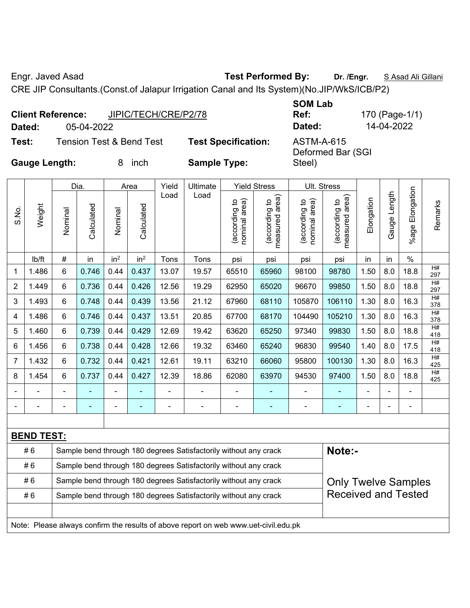Engr. Javed Asad **Test Performed By: Dr. /Engr.** S Asad Ali Gillani

CRE JIP Consultants.(Const.of Jalapur Irrigation Canal and Its System)(No.JIP/WkS/ICB/P2)

|                      | JIPIC/TECH/CRE/P2/78<br><b>Client Reference:</b> |                            | <b>SOM Lab</b><br>Ref:          | 170 (Page-1/1) |
|----------------------|--------------------------------------------------|----------------------------|---------------------------------|----------------|
| Dated:               | 05-04-2022                                       |                            | Dated:                          | 14-04-2022     |
| Test:                | <b>Tension Test &amp; Bend Test</b>              | <b>Test Specification:</b> | ASTM-A-615<br>Deformed Bar (SGI |                |
| <b>Gauge Length:</b> | inch<br>8.                                       | <b>Sample Type:</b>        | Steel)                          |                |

|                                                                        |                   |                | Dia.       |                 | Area            | Yield          | Ultimate                                                                            |                                | <b>Yield Stress</b>             | Ult. Stress                    |                                 |            |              |                       |           |
|------------------------------------------------------------------------|-------------------|----------------|------------|-----------------|-----------------|----------------|-------------------------------------------------------------------------------------|--------------------------------|---------------------------------|--------------------------------|---------------------------------|------------|--------------|-----------------------|-----------|
| S.No.                                                                  | Weight            | Nominal        | Calculated | Nominal         | Calculated      | Load           | Load                                                                                | nominal area)<br>(according to | measured area)<br>(according to | nominal area)<br>(according to | measured area)<br>(according to | Elongation | Gauge Length | Elongation<br>$%$ age | Remarks   |
|                                                                        | lb/ft             | #              | in         | in <sup>2</sup> | in <sup>2</sup> | Tons           | Tons                                                                                | psi                            | psi                             | psi                            | psi                             | in         | in           | $\%$                  |           |
| 1                                                                      | 1.486             | 6              | 0.746      | 0.44            | 0.437           | 13.07          | 19.57                                                                               | 65510                          | 65960                           | 98100                          | 98780                           | 1.50       | 8.0          | 18.8                  | H#<br>297 |
| $\overline{2}$                                                         | 1.449             | 6              | 0.736      | 0.44            | 0.426           | 12.56          | 19.29                                                                               | 62950                          | 65020                           | 96670                          | 99850                           | 1.50       | 8.0          | 18.8                  | H#<br>297 |
| 3                                                                      | 1.493             | 6              | 0.748      | 0.44            | 0.439           | 13.56          | 21.12                                                                               | 67960                          | 68110                           | 105870                         | 106110                          | 1.30       | 8.0          | 16.3                  | H#<br>378 |
| 4                                                                      | 1.486             | 6              | 0.746      | 0.44            | 0.437           | 13.51          | 20.85                                                                               | 67700                          | 68170                           | 104490                         | 105210                          | 1.30       | 8.0          | 16.3                  | H#<br>378 |
| 5                                                                      | 1.460             | 6              | 0.739      | 0.44            | 0.429           | 12.69          | 19.42                                                                               | 63620                          | 65250                           | 97340                          | 99830                           | 1.50       | 8.0          | 18.8                  | H#<br>418 |
| 6                                                                      | 1.456             | $6\phantom{1}$ | 0.738      | 0.44            | 0.428           | 12.66          | 19.32                                                                               | 63460                          | 65240                           | 96830                          | 99540                           | 1.40       | 8.0          | 17.5                  | H#<br>418 |
| $\overline{7}$                                                         | 1.432             | 6              | 0.732      | 0.44            | 0.421           | 12.61          | 19.11                                                                               | 63210                          | 66060                           | 95800                          | 100130                          | 1.30       | 8.0          | 16.3                  | H#<br>425 |
| 8                                                                      | 1.454             | 6              | 0.737      | 0.44            | 0.427           | 12.39          | 18.86                                                                               | 62080                          | 63970                           | 94530                          | 97400                           | 1.50       | 8.0          | 18.8                  | H#<br>425 |
|                                                                        |                   |                |            | ä,              |                 | $\blacksquare$ | $\blacksquare$                                                                      | $\blacksquare$                 | ٠                               | Ē,                             |                                 |            |              |                       |           |
|                                                                        |                   |                |            | ÷               |                 |                |                                                                                     | $\blacksquare$                 |                                 |                                |                                 |            |              |                       |           |
|                                                                        |                   |                |            |                 |                 |                |                                                                                     |                                |                                 |                                |                                 |            |              |                       |           |
|                                                                        | <b>BEND TEST:</b> |                |            |                 |                 |                |                                                                                     |                                |                                 |                                |                                 |            |              |                       |           |
|                                                                        | #6                |                |            |                 |                 |                | Sample bend through 180 degrees Satisfactorily without any crack                    |                                |                                 |                                | Note:-                          |            |              |                       |           |
| #6<br>Sample bend through 180 degrees Satisfactorily without any crack |                   |                |            |                 |                 |                |                                                                                     |                                |                                 |                                |                                 |            |              |                       |           |
|                                                                        | #6                |                |            |                 |                 |                | Sample bend through 180 degrees Satisfactorily without any crack                    |                                |                                 |                                | <b>Only Twelve Samples</b>      |            |              |                       |           |
|                                                                        | #6                |                |            |                 |                 |                | Sample bend through 180 degrees Satisfactorily without any crack                    |                                |                                 |                                | <b>Received and Tested</b>      |            |              |                       |           |
|                                                                        |                   |                |            |                 |                 |                |                                                                                     |                                |                                 |                                |                                 |            |              |                       |           |
|                                                                        |                   |                |            |                 |                 |                | Note: Please always confirm the results of above report on web www.uet-civil.edu.pk |                                |                                 |                                |                                 |            |              |                       |           |
|                                                                        |                   |                |            |                 |                 |                |                                                                                     |                                |                                 |                                |                                 |            |              |                       |           |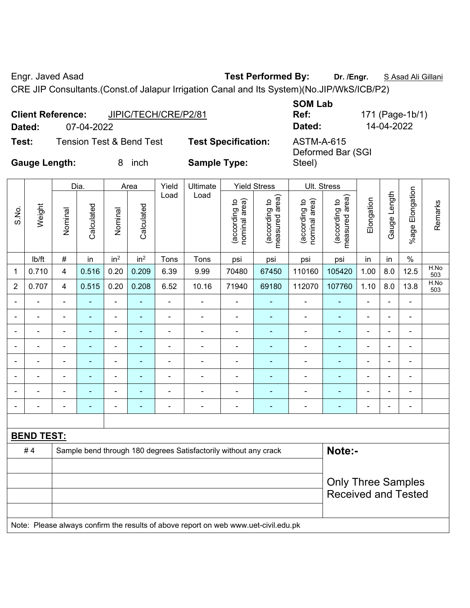Engr. Javed Asad **Test Performed By:** Dr. /Engr. **SAsad Ali Gillani** Collection Association Collection Association

CRE JIP Consultants.(Const.of Jalapur Irrigation Canal and Its System)(No.JIP/WkS/ICB/P2)

| Dated:               | JIPIC/TECH/CRE/P2/81<br><b>Client Reference:</b><br>07-04-2022 |                            | <b>SOM Lab</b><br>Ref:<br>Dated: | 171 (Page-1b/1)<br>14-04-2022 |
|----------------------|----------------------------------------------------------------|----------------------------|----------------------------------|-------------------------------|
| Test:                | <b>Tension Test &amp; Bend Test</b>                            | <b>Test Specification:</b> | ASTM-A-615                       |                               |
| <b>Gauge Length:</b> | inch<br>8                                                      | <b>Sample Type:</b>        | Deformed Bar (SGI<br>Steel)      |                               |

|                |                   |                          | Dia.           |                              | Area                     | Yield                        | Ultimate                                                         |                                | <b>Yield Stress</b>             |                                | Ult. Stress                     |                          |                |                 |             |
|----------------|-------------------|--------------------------|----------------|------------------------------|--------------------------|------------------------------|------------------------------------------------------------------|--------------------------------|---------------------------------|--------------------------------|---------------------------------|--------------------------|----------------|-----------------|-------------|
| S.No.          | Weight            | Nominal                  | Calculated     | Nominal                      | Calculated               | Load                         | Load                                                             | (according to<br>nominal area) | measured area)<br>(according to | nominal area)<br>(according to | measured area)<br>(according to | Elongation               | Gauge Length   | %age Elongation | Remarks     |
|                | lb/ft             | $\#$                     | in             | in <sup>2</sup>              | in <sup>2</sup>          | Tons                         | Tons                                                             | psi                            | psi                             | psi                            | psi                             | in                       | in             | $\%$            |             |
| 1              | 0.710             | $\overline{4}$           | 0.516          | 0.20                         | 0.209                    | 6.39                         | 9.99                                                             | 70480                          | 67450                           | 110160                         | 105420                          | 1.00                     | 8.0            | 12.5            | H.No<br>503 |
| $\overline{2}$ | 0.707             | $\overline{4}$           | 0.515          | 0.20                         | 0.208                    | 6.52                         | 10.16                                                            | 71940                          | 69180                           | 112070                         | 107760                          | 1.10                     | 8.0            | 13.8            | H.No<br>503 |
|                |                   |                          |                | ä,                           | ٠                        | ä,                           | $\blacksquare$                                                   | $\blacksquare$                 | $\blacksquare$                  |                                |                                 | $\overline{a}$           |                | $\blacksquare$  |             |
|                |                   |                          | $\blacksquare$ | ۰                            | ٠                        | $\blacksquare$               | $\blacksquare$                                                   | $\blacksquare$                 | ٠                               | $\blacksquare$                 |                                 | $\blacksquare$           |                |                 |             |
|                |                   |                          | $\blacksquare$ | ٠                            | $\blacksquare$           | $\overline{a}$               | $\overline{a}$                                                   | $\overline{a}$                 | $\blacksquare$                  | ÷                              | $\overline{\phantom{0}}$        | ÷                        | $\blacksquare$ | ÷               |             |
|                | $\blacksquare$    | $\overline{\phantom{0}}$ | $\blacksquare$ | ÷,                           | ٠                        | $\qquad \qquad \blacksquare$ | $\overline{\phantom{a}}$                                         | $\overline{a}$                 | ٠                               | $\blacksquare$                 | ٠                               | $\overline{\phantom{0}}$ |                | $\overline{a}$  |             |
|                | $\blacksquare$    | $\blacksquare$           | $\blacksquare$ | $\qquad \qquad \blacksquare$ | ٠                        | $\overline{a}$               | $\overline{\phantom{a}}$                                         | $\blacksquare$                 | ٠                               | ÷                              | $\blacksquare$                  | $\blacksquare$           |                | ä,              |             |
|                |                   | $\blacksquare$           | $\blacksquare$ | $\blacksquare$               | $\overline{\phantom{0}}$ | $\blacksquare$               | $\blacksquare$                                                   | $\blacksquare$                 | $\blacksquare$                  |                                |                                 | $\blacksquare$           |                | $\blacksquare$  |             |
|                |                   |                          |                | ÷                            |                          |                              |                                                                  | $\blacksquare$                 |                                 |                                |                                 |                          |                |                 |             |
| $\blacksquare$ |                   | $\blacksquare$           | ٠              | ÷                            | ٠                        | $\blacksquare$               | $\blacksquare$                                                   | $\blacksquare$                 | $\blacksquare$                  | $\blacksquare$                 | $\blacksquare$                  | Ē,                       | $\blacksquare$ | $\blacksquare$  |             |
|                |                   |                          |                |                              |                          |                              |                                                                  |                                |                                 |                                |                                 |                          |                |                 |             |
|                | <b>BEND TEST:</b> |                          |                |                              |                          |                              |                                                                  |                                |                                 |                                |                                 |                          |                |                 |             |
|                | #4                |                          |                |                              |                          |                              | Sample bend through 180 degrees Satisfactorily without any crack |                                |                                 |                                | Note:-                          |                          |                |                 |             |
|                |                   |                          |                |                              |                          |                              |                                                                  |                                |                                 |                                |                                 |                          |                |                 |             |
|                |                   |                          |                |                              |                          |                              |                                                                  |                                |                                 |                                | <b>Only Three Samples</b>       |                          |                |                 |             |
|                |                   |                          |                |                              |                          |                              |                                                                  |                                |                                 |                                | <b>Received and Tested</b>      |                          |                |                 |             |
|                |                   |                          |                |                              |                          |                              |                                                                  |                                |                                 |                                |                                 |                          |                |                 |             |
|                |                   |                          |                |                              |                          |                              |                                                                  |                                |                                 |                                |                                 |                          |                |                 |             |

Note: Please always confirm the results of above report on web www.uet-civil.edu.pk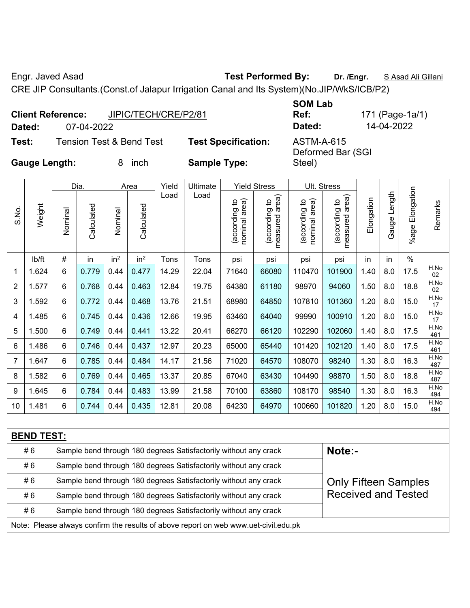Engr. Javed Asad **Test Performed By:** Dr. /Engr. **SAsad Ali Gillani** Collection Association Collection Association

CRE JIP Consultants.(Const.of Jalapur Irrigation Canal and Its System)(No.JIP/WkS/ICB/P2)

|                      | <b>Client Reference:</b> | JIPIC/TECH/CRE/P2/81 |                            | <b>SOM Lab</b><br>Ref:          | 171 (Page-1a/1) |
|----------------------|--------------------------|----------------------|----------------------------|---------------------------------|-----------------|
| Dated:               | 07-04-2022               |                      |                            | Dated:                          | 14-04-2022      |
| Test:                | Tension Test & Bend Test |                      | <b>Test Specification:</b> | ASTM-A-615<br>Deformed Bar (SGI |                 |
| <b>Gauge Length:</b> |                          | inch                 | <b>Sample Type:</b>        | Steel)                          |                 |

| S.No.                                                                            | Weight                                                                 | Nominal        | Dia.<br>Calculated | Nominal         | Area<br>Calculated | Yield<br>Load | Ultimate<br>Load                                                 | nominal area)<br>(according to | <b>Yield Stress</b><br>measured area) | nominal area)<br>(according to | Ult. Stress<br>(according to<br>measured area) | Elongation | Gauge Length | Elongation | Remarks     |
|----------------------------------------------------------------------------------|------------------------------------------------------------------------|----------------|--------------------|-----------------|--------------------|---------------|------------------------------------------------------------------|--------------------------------|---------------------------------------|--------------------------------|------------------------------------------------|------------|--------------|------------|-------------|
|                                                                                  |                                                                        |                |                    |                 |                    |               |                                                                  |                                | (according to                         |                                | measured                                       |            |              | $%$ age    |             |
|                                                                                  | lb/ft                                                                  | #              | in                 | in <sup>2</sup> | in <sup>2</sup>    | Tons          | Tons                                                             | psi                            | psi                                   | psi                            | psi                                            | in         | in           | $\%$       |             |
| 1                                                                                | 1.624                                                                  | 6              | 0.779              | 0.44            | 0.477              | 14.29         | 22.04                                                            | 71640                          | 66080                                 | 110470                         | 101900                                         | 1.40       | 8.0          | 17.5       | H.No<br>02  |
| 2                                                                                | 1.577                                                                  | 6              | 0.768              | 0.44            | 0.463              | 12.84         | 19.75                                                            | 64380                          | 61180                                 | 98970                          | 94060                                          | 1.50       | 8.0          | 18.8       | H.No<br>02  |
| 3                                                                                | 1.592                                                                  | 6              | 0.772              | 0.44            | 0.468              | 13.76         | 21.51                                                            | 68980                          | 64850                                 | 107810                         | 101360                                         | 1.20       | 8.0          | 15.0       | H.No<br>17  |
| 4                                                                                | 1.485                                                                  | 6              | 0.745              | 0.44            | 0.436              | 12.66         | 19.95                                                            | 63460                          | 64040                                 | 99990                          | 100910                                         | 1.20       | 8.0          | 15.0       | H.No<br>17  |
| 5                                                                                | 1.500                                                                  | 6              | 0.749              | 0.44            | 0.441              | 13.22         | 20.41                                                            | 66270                          | 66120                                 | 102290                         | 102060                                         | 1.40       | 8.0          | 17.5       | H.No<br>461 |
| 6                                                                                | 1.486                                                                  | 6              | 0.746              | 0.44            | 0.437              | 12.97         | 20.23                                                            | 65000                          | 65440                                 | 101420                         | 102120                                         | 1.40       | 8.0          | 17.5       | H.No<br>461 |
| $\overline{7}$                                                                   | 1.647                                                                  | $6\phantom{1}$ | 0.785              | 0.44            | 0.484              | 14.17         | 21.56                                                            | 71020                          | 64570                                 | 108070                         | 98240                                          | 1.30       | 8.0          | 16.3       | H.No<br>487 |
| 8                                                                                | 1.582                                                                  | 6              | 0.769              | 0.44            | 0.465              | 13.37         | 20.85                                                            | 67040                          | 63430                                 | 104490                         | 98870                                          | 1.50       | 8.0          | 18.8       | H.No<br>487 |
| 9                                                                                | 1.645                                                                  | 6              | 0.784              | 0.44            | 0.483              | 13.99         | 21.58                                                            | 70100                          | 63860                                 | 108170                         | 98540                                          | 1.30       | 8.0          | 16.3       | H.No<br>494 |
| 10                                                                               | 1.481                                                                  | 6              | 0.744              | 0.44            | 0.435              | 12.81         | 20.08                                                            | 64230                          | 64970                                 | 100660                         | 101820                                         | 1.20       | 8.0          | 15.0       | H.No<br>494 |
|                                                                                  |                                                                        |                |                    |                 |                    |               |                                                                  |                                |                                       |                                |                                                |            |              |            |             |
|                                                                                  | <b>BEND TEST:</b>                                                      |                |                    |                 |                    |               |                                                                  |                                |                                       |                                |                                                |            |              |            |             |
| Note:-<br>#6<br>Sample bend through 180 degrees Satisfactorily without any crack |                                                                        |                |                    |                 |                    |               |                                                                  |                                |                                       |                                |                                                |            |              |            |             |
|                                                                                  | #6                                                                     |                |                    |                 |                    |               | Sample bend through 180 degrees Satisfactorily without any crack |                                |                                       |                                |                                                |            |              |            |             |
|                                                                                  | #6                                                                     |                |                    |                 |                    |               | Sample bend through 180 degrees Satisfactorily without any crack |                                |                                       |                                | <b>Only Fifteen Samples</b>                    |            |              |            |             |
|                                                                                  | #6                                                                     |                |                    |                 |                    |               | Sample bend through 180 degrees Satisfactorily without any crack |                                |                                       |                                | <b>Received and Tested</b>                     |            |              |            |             |
|                                                                                  | #6<br>Sample bend through 180 degrees Satisfactorily without any crack |                |                    |                 |                    |               |                                                                  |                                |                                       |                                |                                                |            |              |            |             |

Note: Please always confirm the results of above report on web www.uet-civil.edu.pk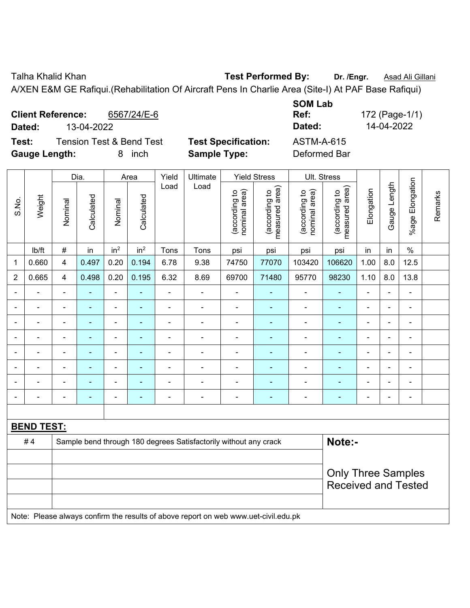Talha Khalid Khan **Test Performed By: Dr. /Engr.** Asad Ali Gillani

A/XEN E&M GE Rafiqui.(Rehabilitation Of Aircraft Pens In Charlie Area (Site-I) At PAF Base Rafiqui)

| <b>Client Reference:</b><br>6567/24/E-6<br>13-04-2022<br>Dated:              |                                                   | <b>SOM Lab</b><br>Ref:<br>Dated:  | 172 (Page-1/1)<br>14-04-2022 |
|------------------------------------------------------------------------------|---------------------------------------------------|-----------------------------------|------------------------------|
| <b>Tension Test &amp; Bend Test</b><br>Test:<br><b>Gauge Length:</b><br>inch | <b>Test Specification:</b><br><b>Sample Type:</b> | <b>ASTM-A-615</b><br>Deformed Bar |                              |

|                |                   |                          | Dia.           |                          | Area            | Yield          | Ultimate                                                                            |                                | <b>Yield Stress</b>             |                                | Ult. Stress                     |                |                |                          |         |
|----------------|-------------------|--------------------------|----------------|--------------------------|-----------------|----------------|-------------------------------------------------------------------------------------|--------------------------------|---------------------------------|--------------------------------|---------------------------------|----------------|----------------|--------------------------|---------|
| S.No.          | Weight            | Nominal                  | Calculated     | Nominal                  | Calculated      | Load           | Load                                                                                | nominal area)<br>(according to | (according to<br>measured area) | nominal area)<br>(according to | measured area)<br>(according to | Elongation     | Gauge Length   | %age Elongation          | Remarks |
|                | lb/ft             | $\#$                     | in             | in <sup>2</sup>          | in <sup>2</sup> | Tons           | Tons                                                                                | psi                            | psi                             | psi                            | psi                             | in             | in             | $\%$                     |         |
| 1              | 0.660             | $\overline{\mathbf{4}}$  | 0.497          | 0.20                     | 0.194           | 6.78           | 9.38                                                                                | 74750                          | 77070                           | 103420                         | 106620                          | 1.00           | 8.0            | 12.5                     |         |
| $\overline{2}$ | 0.665             | $\overline{\mathbf{4}}$  | 0.498          | 0.20                     | 0.195           | 6.32           | 8.69                                                                                | 69700                          | 71480                           | 95770                          | 98230                           | 1.10           | 8.0            | 13.8                     |         |
| $\blacksquare$ | $\blacksquare$    | $\blacksquare$           | -              | $\blacksquare$           | $\blacksquare$  | ä,             | $\blacksquare$                                                                      | $\blacksquare$                 | ٠                               | $\blacksquare$                 | $\blacksquare$                  | $\blacksquare$ | $\blacksquare$ | $\blacksquare$           |         |
|                | $\blacksquare$    | $\blacksquare$           | $\blacksquare$ | $\overline{\phantom{0}}$ | ۰               | $\blacksquare$ | $\blacksquare$                                                                      | $\blacksquare$                 | ۰                               | $\blacksquare$                 | $\blacksquare$                  | $\blacksquare$ | $\blacksquare$ | $\overline{\phantom{a}}$ |         |
|                | $\blacksquare$    | $\blacksquare$           | $\blacksquare$ | $\frac{1}{2}$            | ٠               | $\blacksquare$ | $\blacksquare$                                                                      | $\blacksquare$                 | ٠                               | $\blacksquare$                 | $\blacksquare$                  | ä,             |                | $\blacksquare$           |         |
|                | $\blacksquare$    | $\blacksquare$           | $\blacksquare$ | ÷                        | ٠               | $\blacksquare$ | $\blacksquare$                                                                      | $\blacksquare$                 | ۰                               | $\blacksquare$                 | $\blacksquare$                  | ÷              | $\blacksquare$ | ÷,                       |         |
|                |                   |                          | -              | -                        |                 |                | $\blacksquare$                                                                      | -                              |                                 | $\overline{\phantom{a}}$       | ÷                               | Ē,             |                |                          |         |
|                |                   |                          |                | $\overline{a}$           |                 |                | $\overline{\phantom{0}}$                                                            | $\blacksquare$                 |                                 |                                | $\blacksquare$                  |                |                | $\overline{\phantom{a}}$ |         |
|                |                   |                          |                | ÷                        |                 |                | Ē,                                                                                  | $\blacksquare$                 |                                 | $\blacksquare$                 |                                 |                |                |                          |         |
| $\blacksquare$ |                   | $\overline{\phantom{0}}$ | $\blacksquare$ | $\overline{a}$           | ۰               | $\blacksquare$ | $\blacksquare$                                                                      | $\blacksquare$                 | ۰                               | $\overline{\phantom{0}}$       | $\blacksquare$                  | $\blacksquare$ | $\blacksquare$ | $\blacksquare$           |         |
|                |                   |                          |                |                          |                 |                |                                                                                     |                                |                                 |                                |                                 |                |                |                          |         |
|                | <b>BEND TEST:</b> |                          |                |                          |                 |                |                                                                                     |                                |                                 |                                |                                 |                |                |                          |         |
|                | #4                |                          |                |                          |                 |                | Sample bend through 180 degrees Satisfactorily without any crack                    |                                |                                 |                                | Note:-                          |                |                |                          |         |
|                |                   |                          |                |                          |                 |                |                                                                                     |                                |                                 |                                |                                 |                |                |                          |         |
|                |                   |                          |                |                          |                 |                | <b>Only Three Samples</b>                                                           |                                |                                 |                                |                                 |                |                |                          |         |
|                |                   |                          |                |                          |                 |                |                                                                                     |                                |                                 |                                | <b>Received and Tested</b>      |                |                |                          |         |
|                |                   |                          |                |                          |                 |                |                                                                                     |                                |                                 |                                |                                 |                |                |                          |         |
|                |                   |                          |                |                          |                 |                | Note: Please always confirm the results of above report on web www.uet-civil.edu.pk |                                |                                 |                                |                                 |                |                |                          |         |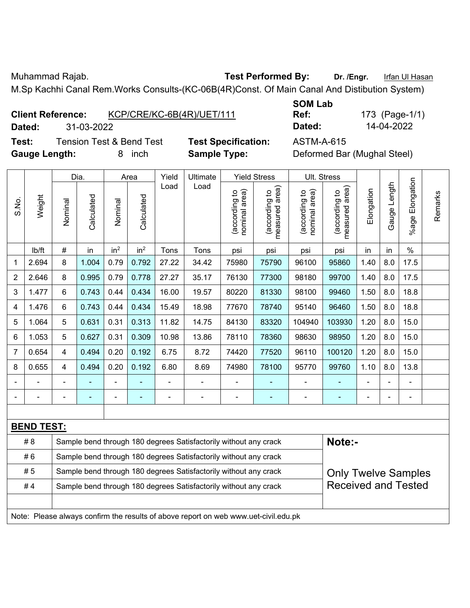Muhammad Rajab. **Test Performed By:** Dr. /Engr. Infan Ul Hasan

M.Sp Kachhi Canal Rem.Works Consults-(KC-06B(4R)Const. Of Main Canal And Distibution System)

**Test:** Tension Test & Bend Test **Test Specification:** ASTM-A-615 **Gauge Length:** 8 inch **Sample Type:** Deformed Bar (Mughal Steel)

**SOM Lab Ref:** 173 (Page-1/1) **Dated:** 31-03-2022 **Dated:** 14-04-2022

|                |                                                                        |                                                                                                | Dia.       | Area            |                 | Yield | Ultimate                                                                            |                               | <b>Yield Stress</b>             |                                | Ult. Stress                     |                     |              |                          |         |
|----------------|------------------------------------------------------------------------|------------------------------------------------------------------------------------------------|------------|-----------------|-----------------|-------|-------------------------------------------------------------------------------------|-------------------------------|---------------------------------|--------------------------------|---------------------------------|---------------------|--------------|--------------------------|---------|
| S.No.          | Weight                                                                 | Nominal                                                                                        | Calculated | Nominal         | Calculated      | Load  | Load                                                                                | nominal area)<br>according to | measured area)<br>(according to | nominal area)<br>(according to | (according to<br>measured area) | Elongation          | Gauge Length | Elongation<br>$%$ age    | Remarks |
|                | lb/ft                                                                  | $\#$                                                                                           | in         | in <sup>2</sup> | in <sup>2</sup> | Tons  | Tons                                                                                | psi                           | psi                             | psi                            | psi                             | in                  | in           | $\%$                     |         |
| 1              | 2.694                                                                  | 8                                                                                              | 1.004      | 0.79            | 0.792           | 27.22 | 34.42                                                                               | 75980                         | 75790                           | 96100                          | 95860                           | 1.40                | 8.0          | 17.5                     |         |
| $\overline{2}$ | 2.646                                                                  | 8                                                                                              | 0.995      | 0.79            | 0.778           | 27.27 | 35.17                                                                               | 76130                         | 77300                           | 98180                          | 99700                           | 1.40                | 8.0          | 17.5                     |         |
| 3              | 1.477                                                                  | $6\phantom{1}$                                                                                 | 0.743      | 0.44            | 0.434           | 16.00 | 19.57                                                                               | 80220                         | 81330                           | 98100                          | 99460                           | 1.50                | 8.0          | 18.8                     |         |
| 4              | 1.476                                                                  | 6                                                                                              | 0.743      | 0.44            | 0.434           | 15.49 | 18.98                                                                               | 77670                         | 78740                           | 95140                          | 96460                           | 1.50                | 8.0          | 18.8                     |         |
| 5              | 1.064                                                                  | 5                                                                                              | 0.631      | 0.31            | 0.313           | 11.82 | 14.75                                                                               | 84130                         | 83320                           | 104940                         | 103930                          | 1.20                | 8.0          | 15.0                     |         |
| 6              | 1.053                                                                  | 5                                                                                              | 0.627      | 0.31            | 0.309           | 10.98 | 13.86                                                                               | 78110                         | 78360                           | 98630                          | 98950                           | 1.20                | 8.0          | 15.0                     |         |
| 7              | 0.654                                                                  | 4                                                                                              | 0.494      | 0.20            | 0.192           | 6.75  | 8.72                                                                                | 74420                         | 77520                           | 96110                          | 100120                          | 1.20<br>8.0<br>15.0 |              |                          |         |
| 8              | 0.655                                                                  | 4                                                                                              | 0.494      | 0.20            | 0.192           | 6.80  | 8.69                                                                                | 74980                         | 78100                           | 95770                          | 99760                           | 1.10                | 8.0          | 13.8                     |         |
|                |                                                                        |                                                                                                |            | ÷,              | ÷               | ä,    | ÷,                                                                                  |                               |                                 | ä,                             | Ξ                               |                     |              | ÷                        |         |
|                |                                                                        |                                                                                                |            | ÷               | ۰               |       | $\blacksquare$                                                                      |                               | $\overline{\phantom{a}}$        | -                              | ۰                               |                     |              | $\overline{\phantom{a}}$ |         |
|                |                                                                        |                                                                                                |            |                 |                 |       |                                                                                     |                               |                                 |                                |                                 |                     |              |                          |         |
|                | <b>BEND TEST:</b>                                                      |                                                                                                |            |                 |                 |       |                                                                                     |                               |                                 |                                |                                 |                     |              |                          |         |
|                | # 8                                                                    |                                                                                                |            |                 |                 |       | Sample bend through 180 degrees Satisfactorily without any crack                    |                               |                                 |                                | Note:-                          |                     |              |                          |         |
|                | #6                                                                     |                                                                                                |            |                 |                 |       | Sample bend through 180 degrees Satisfactorily without any crack                    |                               |                                 |                                |                                 |                     |              |                          |         |
|                | # 5                                                                    | Sample bend through 180 degrees Satisfactorily without any crack<br><b>Only Twelve Samples</b> |            |                 |                 |       |                                                                                     |                               |                                 |                                |                                 |                     |              |                          |         |
|                | #4<br>Sample bend through 180 degrees Satisfactorily without any crack |                                                                                                |            |                 |                 |       |                                                                                     |                               |                                 |                                | <b>Received and Tested</b>      |                     |              |                          |         |
|                |                                                                        |                                                                                                |            |                 |                 |       |                                                                                     |                               |                                 |                                |                                 |                     |              |                          |         |
|                |                                                                        |                                                                                                |            |                 |                 |       | Note: Please always confirm the results of above report on web www.uet-civil.edu.pk |                               |                                 |                                |                                 |                     |              |                          |         |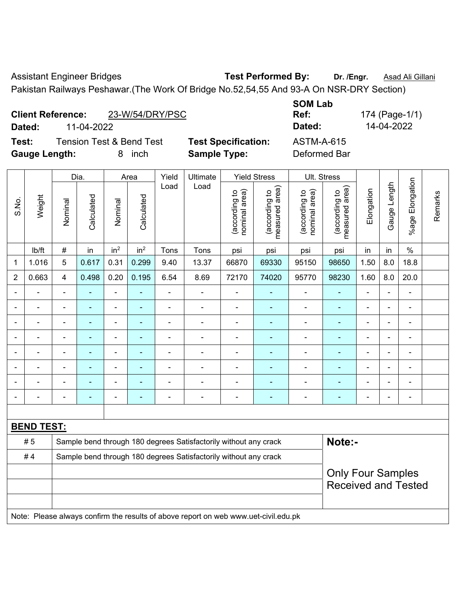Assistant Engineer Bridges **Test Performed By:** Dr. /Engr. **Asad Ali Gillani** Pakistan Railways Peshawar.(The Work Of Bridge No.52,54,55 And 93-A On NSR-DRY Section)

| <b>Client Reference:</b> | 23-W/54/DRY/PSC |
|--------------------------|-----------------|
|--------------------------|-----------------|

**Test:** Tension Test & Bend Test **Test Specification:** ASTM-A-615 **Gauge Length:** 8 inch **Sample Type:** Deformed Bar

**SOM Lab** 

|                |                   |                         | Dia.           |                          | Area            | Yield          | Ultimate                                                                            |                                | <b>Yield Stress</b>             | Ult. Stress                    |                                             |                |                |                       |         |
|----------------|-------------------|-------------------------|----------------|--------------------------|-----------------|----------------|-------------------------------------------------------------------------------------|--------------------------------|---------------------------------|--------------------------------|---------------------------------------------|----------------|----------------|-----------------------|---------|
| S.No.          | Weight            | Nominal                 | Calculated     | Nominal                  | Calculated      | Load           | Load                                                                                | nominal area)<br>(according to | measured area)<br>(according to | (according to<br>nominal area) | (according to<br>neasured area)<br>measured | Elongation     | Gauge Length   | Elongation<br>$%$ age | Remarks |
|                | lb/ft             | $\#$                    | in             | in <sup>2</sup>          | in <sup>2</sup> | Tons           | Tons                                                                                | psi                            | psi                             | psi                            | psi                                         | in             | in             | $\%$                  |         |
| 1              | 1.016             | 5                       | 0.617          | 0.31                     | 0.299           | 9.40           | 13.37                                                                               | 66870                          | 69330                           | 95150                          | 98650                                       | 1.50           | 8.0            | 18.8                  |         |
| $\overline{2}$ | 0.663             | $\overline{\mathbf{4}}$ | 0.498          | 0.20                     | 0.195           | 6.54           | 8.69                                                                                | 72170                          | 74020                           | 95770                          | 98230                                       | 1.60           | 8.0            | 20.0                  |         |
| $\blacksquare$ |                   | $\overline{a}$          |                | $\blacksquare$           |                 | $\blacksquare$ | ä,                                                                                  | ä,                             |                                 | $\blacksquare$                 |                                             | $\overline{a}$ | $\blacksquare$ | ÷                     |         |
|                |                   | $\blacksquare$          | $\blacksquare$ | $\blacksquare$           |                 | $\blacksquare$ | $\overline{a}$                                                                      | $\blacksquare$                 |                                 | $\blacksquare$                 | $\blacksquare$                              | $\blacksquare$ |                |                       |         |
|                |                   |                         |                | $\blacksquare$           |                 |                |                                                                                     |                                |                                 |                                |                                             |                |                |                       |         |
|                |                   |                         |                | $\blacksquare$           |                 | $\blacksquare$ |                                                                                     |                                |                                 | $\blacksquare$                 |                                             | $\blacksquare$ | $\blacksquare$ | $\blacksquare$        |         |
| $\blacksquare$ |                   | $\blacksquare$          |                | $\blacksquare$           | ٠               | $\blacksquare$ | $\blacksquare$                                                                      | $\blacksquare$                 | ٠                               | ۰                              | $\blacksquare$                              | $\blacksquare$ | $\blacksquare$ | ÷                     |         |
|                |                   | ÷                       | $\blacksquare$ | $\blacksquare$           |                 | $\overline{a}$ | $\blacksquare$                                                                      | $\overline{a}$                 |                                 |                                |                                             | $\blacksquare$ | $\blacksquare$ | ÷                     |         |
|                |                   | $\blacksquare$          |                | $\overline{\phantom{a}}$ |                 | $\blacksquare$ | ÷                                                                                   | $\blacksquare$                 |                                 | ۰                              | ÷,                                          | $\blacksquare$ | $\blacksquare$ | ÷                     |         |
|                |                   |                         |                |                          |                 |                |                                                                                     |                                |                                 |                                |                                             |                |                |                       |         |
|                |                   |                         |                |                          |                 |                |                                                                                     |                                |                                 |                                |                                             |                |                |                       |         |
|                | <b>BEND TEST:</b> |                         |                |                          |                 |                |                                                                                     |                                |                                 |                                |                                             |                |                |                       |         |
|                | # 5               |                         |                |                          |                 |                | Sample bend through 180 degrees Satisfactorily without any crack                    |                                |                                 |                                | Note:-                                      |                |                |                       |         |
|                | #4                |                         |                |                          |                 |                | Sample bend through 180 degrees Satisfactorily without any crack                    |                                |                                 |                                |                                             |                |                |                       |         |
|                |                   |                         |                |                          |                 |                |                                                                                     |                                |                                 |                                | <b>Only Four Samples</b>                    |                |                |                       |         |
|                |                   |                         |                |                          |                 |                |                                                                                     |                                |                                 |                                | <b>Received and Tested</b>                  |                |                |                       |         |
|                |                   |                         |                |                          |                 |                |                                                                                     |                                |                                 |                                |                                             |                |                |                       |         |
|                |                   |                         |                |                          |                 |                | Note: Please always confirm the results of above report on web www.uet-civil.edu.pk |                                |                                 |                                |                                             |                |                |                       |         |

**Ref:** 174 (Page-1/1) **Dated:** 11-04-2022 **Dated:** 14-04-2022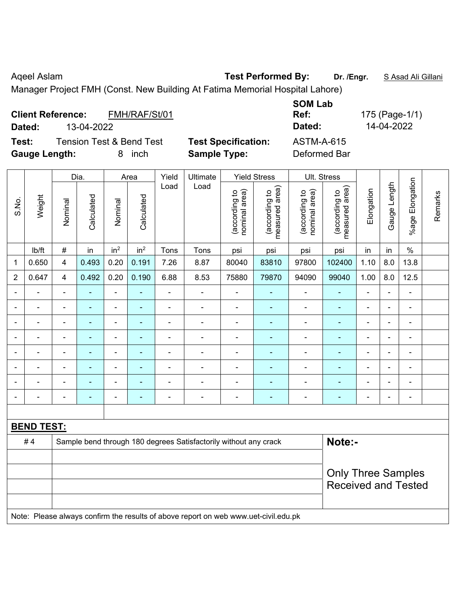Aqeel Aslam **Test Performed By:** Dr. /Engr. **SAsad Ali Gillani** Calculani

Manager Project FMH (Const. New Building At Fatima Memorial Hospital Lahore)

| FMH/RAF/St/01<br><b>Client Reference:</b><br>13-04-2022<br>Dated: |                                                   | <b>SOM Lab</b><br>Ref:<br>Dated:  | 175 (Page-1/1)<br>14-04-2022 |
|-------------------------------------------------------------------|---------------------------------------------------|-----------------------------------|------------------------------|
| Tension Test & Bend Test<br>Test:<br><b>Gauge Length:</b><br>inch | <b>Test Specification:</b><br><b>Sample Type:</b> | <b>ASTM-A-615</b><br>Deformed Bar |                              |

|                |                   |                           | Dia.                     |                          | Area            | Yield          | Ultimate                                                                            |                                | <b>Yield Stress</b>             |                                | Ult. Stress                     |                |                |                         |         |
|----------------|-------------------|---------------------------|--------------------------|--------------------------|-----------------|----------------|-------------------------------------------------------------------------------------|--------------------------------|---------------------------------|--------------------------------|---------------------------------|----------------|----------------|-------------------------|---------|
| S.No.          | Weight            | Nominal                   | Calculated               | Nominal                  | Calculated      | Load           | Load                                                                                | nominal area)<br>(according to | (according to<br>measured area) | nominal area)<br>(according to | measured area)<br>(according to | Elongation     | Gauge Length   | Elongation<br>$%$ age F | Remarks |
|                | lb/ft             | #                         | in                       | in <sup>2</sup>          | in <sup>2</sup> | Tons           | Tons                                                                                | psi                            | psi                             | psi                            | psi                             | in             | in             | $\%$                    |         |
| 1              | 0.650             | $\overline{4}$            | 0.493                    | 0.20                     | 0.191           | 7.26           | 8.87                                                                                | 80040                          | 83810                           | 97800                          | 102400                          | 1.10           | 8.0            | 13.8                    |         |
| $\overline{2}$ | 0.647             | 4                         | 0.492                    | 0.20                     | 0.190           | 6.88           | 8.53                                                                                | 75880                          | 79870                           | 94090                          | 99040                           | 1.00           | 8.0            | 12.5                    |         |
| Ē,             | ä,                | $\blacksquare$            | $\blacksquare$           | ÷,                       |                 | L,             | ä,                                                                                  | $\blacksquare$                 | ÷                               | ÷,                             | ٠                               | $\blacksquare$ | $\blacksquare$ | $\blacksquare$          |         |
|                | ÷                 | $\blacksquare$            | $\blacksquare$           | $\blacksquare$           | $\blacksquare$  | $\blacksquare$ | ÷                                                                                   | $\overline{\phantom{a}}$       | ۰                               | ÷                              | ۰                               | $\blacksquare$ | $\overline{a}$ | $\blacksquare$          |         |
|                | ä,                | L,                        | ä,                       | $\blacksquare$           |                 | ä,             | ä,                                                                                  | $\blacksquare$                 | ä,                              | ÷,                             | $\blacksquare$                  | $\blacksquare$ |                | $\blacksquare$          |         |
|                | $\blacksquare$    | $\blacksquare$            | $\blacksquare$           | $\blacksquare$           | $\blacksquare$  | $\blacksquare$ | $\blacksquare$                                                                      | $\blacksquare$                 | ۰                               | $\blacksquare$                 | $\blacksquare$                  |                |                | $\blacksquare$          |         |
|                | $\blacksquare$    |                           | $\blacksquare$           | $\blacksquare$           |                 |                | $\blacksquare$                                                                      | $\blacksquare$                 | ۰                               | $\blacksquare$                 | ٠                               |                |                | $\blacksquare$          |         |
|                |                   |                           |                          | $\overline{\phantom{0}}$ |                 |                |                                                                                     | -                              | ۰                               |                                | ۰                               |                |                | $\blacksquare$          |         |
|                | $\blacksquare$    |                           |                          | $\blacksquare$           |                 |                | $\overline{\phantom{0}}$                                                            | $\blacksquare$                 | ۰                               | ٠                              | $\blacksquare$                  |                |                | $\blacksquare$          |         |
| $\blacksquare$ | $\blacksquare$    | $\blacksquare$            | $\overline{\phantom{0}}$ | $\blacksquare$           |                 | $\blacksquare$ | $\blacksquare$                                                                      | $\blacksquare$                 | ÷                               | ÷                              | ۰                               | $\blacksquare$ | $\blacksquare$ | $\overline{a}$          |         |
|                |                   |                           |                          |                          |                 |                |                                                                                     |                                |                                 |                                |                                 |                |                |                         |         |
|                | <b>BEND TEST:</b> |                           |                          |                          |                 |                |                                                                                     |                                |                                 |                                |                                 |                |                |                         |         |
|                | #4                |                           |                          |                          |                 |                | Sample bend through 180 degrees Satisfactorily without any crack                    |                                |                                 |                                | Note:-                          |                |                |                         |         |
|                |                   |                           |                          |                          |                 |                |                                                                                     |                                |                                 |                                |                                 |                |                |                         |         |
|                |                   | <b>Only Three Samples</b> |                          |                          |                 |                |                                                                                     |                                |                                 |                                |                                 |                |                |                         |         |
|                |                   |                           |                          |                          |                 |                |                                                                                     |                                |                                 |                                | <b>Received and Tested</b>      |                |                |                         |         |
|                |                   |                           |                          |                          |                 |                |                                                                                     |                                |                                 |                                |                                 |                |                |                         |         |
|                |                   |                           |                          |                          |                 |                | Note: Please always confirm the results of above report on web www.uet-civil.edu.pk |                                |                                 |                                |                                 |                |                |                         |         |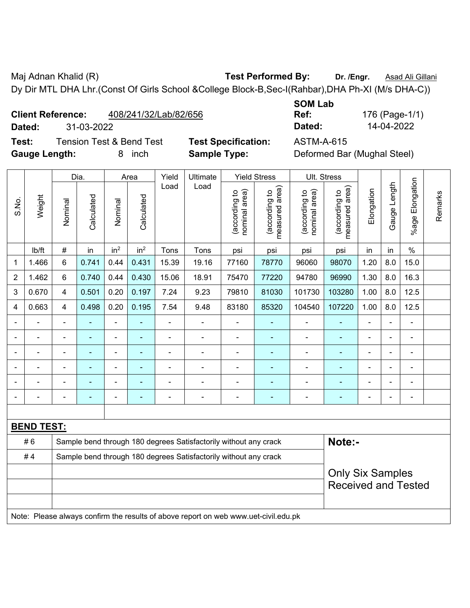Maj Adnan Khalid (R) **Test Performed By:** Dr. /Engr. **Asad Ali Gillani** Associates And Ali Gillani Dy Dir MTL DHA Lhr.(Const Of Girls School &College Block-B,Sec-I(Rahbar),DHA Ph-XI (M/s DHA-C))

| <b>Client Reference:</b> | 408/241/32/Lab/82/656 |
|--------------------------|-----------------------|
|                          |                       |

**Test:** Tension Test & Bend Test **Test Specification:** ASTM-A-615 **Gauge Length:** 8 inch **Sample Type:** Deformed Bar (Mughal Steel)

**SOM Lab Ref:** 176 (Page-1/1) **Dated:** 31-03-2022 **Dated:** 14-04-2022

|                |                   |                                                                  | Dia.           |                 | Area            | Yield                    | Ultimate                                                                            |                                | <b>Yield Stress</b>             | Ult. Stress                    |                                 |                |              |                          |         |
|----------------|-------------------|------------------------------------------------------------------|----------------|-----------------|-----------------|--------------------------|-------------------------------------------------------------------------------------|--------------------------------|---------------------------------|--------------------------------|---------------------------------|----------------|--------------|--------------------------|---------|
| S.No.          | Weight            | Nominal                                                          | Calculated     | Nominal         | Calculated      | Load                     | Load                                                                                | nominal area)<br>(according to | (according to<br>measured area) | (according to<br>nominal area) | (according to<br>measured area) | Elongation     | Gauge Length | Elongation<br>$%$ age    | Remarks |
|                | lb/ft             | $\#$                                                             | in             | in <sup>2</sup> | in <sup>2</sup> | Tons                     | Tons                                                                                | psi                            | psi                             | psi                            | psi                             | in             | in           | $\frac{0}{0}$            |         |
| 1              | 1.466             | 6                                                                | 0.741          | 0.44            | 0.431           | 15.39                    | 19.16                                                                               | 77160                          | 78770                           | 96060                          | 98070                           | 1.20           | 8.0          | 15.0                     |         |
| $\overline{2}$ | 1.462             | 6                                                                | 0.740          | 0.44            | 0.430           | 15.06                    | 18.91                                                                               | 75470                          | 77220                           | 94780                          | 96990                           | 1.30           | 8.0          | 16.3                     |         |
| 3              | 0.670             | 4                                                                | 0.501          | 0.20            | 0.197           | 7.24                     | 9.23                                                                                | 79810                          | 81030                           | 101730                         | 103280                          | 1.00           | 8.0          | 12.5                     |         |
| 4              | 0.663             | 4                                                                | 0.498          | 0.20            | 0.195           | 7.54                     | 9.48                                                                                | 83180                          | 85320                           | 104540                         | 107220                          | 1.00           | 8.0          | 12.5                     |         |
|                | $\blacksquare$    | $\blacksquare$                                                   | $\blacksquare$ | ÷,              |                 | $\overline{\phantom{a}}$ | $\overline{\phantom{a}}$                                                            | ä,                             | $\blacksquare$                  | $\blacksquare$                 | $\blacksquare$                  | $\blacksquare$ | ä,           | $\blacksquare$           |         |
|                | $\blacksquare$    | ä,                                                               | $\blacksquare$ | ÷               |                 | $\blacksquare$           | $\overline{\phantom{a}}$                                                            | L,                             | $\blacksquare$                  | $\blacksquare$                 | $\blacksquare$                  | $\blacksquare$ | ä,           | $\blacksquare$           |         |
|                | $\blacksquare$    | $\blacksquare$                                                   | $\blacksquare$ | ÷               | $\blacksquare$  | $\blacksquare$           | $\blacksquare$                                                                      | ä,                             | $\blacksquare$                  | $\blacksquare$                 | $\blacksquare$                  | $\blacksquare$ |              | $\blacksquare$           |         |
|                |                   |                                                                  |                |                 |                 |                          |                                                                                     | $\blacksquare$                 | ÷                               |                                |                                 |                |              | ÷                        |         |
|                |                   |                                                                  |                |                 |                 |                          |                                                                                     |                                |                                 |                                |                                 |                |              |                          |         |
|                |                   | $\blacksquare$                                                   |                | $\blacksquare$  |                 |                          | ٠                                                                                   | $\blacksquare$                 | ÷                               | $\overline{\phantom{0}}$       | $\blacksquare$                  | $\blacksquare$ |              | $\overline{\phantom{0}}$ |         |
|                |                   |                                                                  |                |                 |                 |                          |                                                                                     |                                |                                 |                                |                                 |                |              |                          |         |
|                | <b>BEND TEST:</b> |                                                                  |                |                 |                 |                          |                                                                                     |                                |                                 |                                |                                 |                |              |                          |         |
|                | #6                |                                                                  |                |                 |                 |                          | Sample bend through 180 degrees Satisfactorily without any crack                    |                                |                                 |                                | Note:-                          |                |              |                          |         |
|                | #4                | Sample bend through 180 degrees Satisfactorily without any crack |                |                 |                 |                          |                                                                                     |                                |                                 |                                |                                 |                |              |                          |         |
|                |                   |                                                                  |                |                 |                 |                          |                                                                                     |                                |                                 |                                | <b>Only Six Samples</b>         |                |              |                          |         |
|                |                   |                                                                  |                |                 |                 |                          |                                                                                     |                                |                                 |                                | <b>Received and Tested</b>      |                |              |                          |         |
|                |                   |                                                                  |                |                 |                 |                          |                                                                                     |                                |                                 |                                |                                 |                |              |                          |         |
|                |                   |                                                                  |                |                 |                 |                          | Note: Please always confirm the results of above report on web www.uet-civil.edu.pk |                                |                                 |                                |                                 |                |              |                          |         |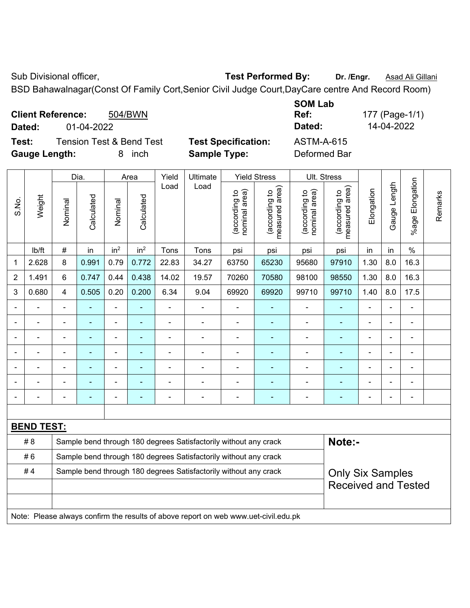Sub Divisional officer, **Test Performed By:** Dr. /Engr. **Asad Ali Gillani** Collection Association Association Association Association Association Association Association Association Association Association Association Asso

BSD Bahawalnagar(Const Of Family Cort,Senior Civil Judge Court,DayCare centre And Record Room)

**Client Reference:** 504/BWN **Dated:** 01-04-2022 **Dated:** 14-04-2022 **Test:** Tension Test & Bend Test **Test Specification:** ASTM-A-615

**Gauge Length:** 8 inch **Sample Type:** Deformed Bar

**SOM Lab Ref:** 177 (Page-1/1)

|                |                   |                                                                  | Dia.           |                 | Area            | Yield | Ultimate                                                         |                               | <b>Yield Stress</b>                | Ult. Stress                    |                                 |                          |                |                 |         |
|----------------|-------------------|------------------------------------------------------------------|----------------|-----------------|-----------------|-------|------------------------------------------------------------------|-------------------------------|------------------------------------|--------------------------------|---------------------------------|--------------------------|----------------|-----------------|---------|
| S.No.          | Weight            | Nominal                                                          | Calculated     | Nominal         | Calculated      | Load  | Load                                                             | nominal area)<br>according to | area)<br>(according to<br>measured | nominal area)<br>(according to | measured area)<br>(according to | Elongation               | Gauge Length   | %age Elongation | Remarks |
|                | Ib/ft             | $\#$                                                             | in             | in <sup>2</sup> | in <sup>2</sup> | Tons  | Tons                                                             | psi                           | psi                                | psi                            | psi                             | in                       | in             | $\%$            |         |
| 1              | 2.628             | 8                                                                | 0.991          | 0.79            | 0.772           | 22.83 | 34.27                                                            | 63750                         | 65230                              | 95680                          | 97910                           | 1.30                     | 8.0            | 16.3            |         |
| $\overline{2}$ | 1.491             | 6                                                                | 0.747          | 0.44            | 0.438           | 14.02 | 19.57                                                            | 70260                         | 70580                              | 98100                          | 98550                           | 1.30                     | 8.0            | 16.3            |         |
| 3              | 0.680             | 4                                                                | 0.505          | 0.20            | 0.200           | 6.34  | 9.04                                                             | 69920                         | 69920                              | 99710                          | 99710                           | 1.40                     | 8.0            | 17.5            |         |
|                |                   | ۰                                                                |                | ٠               |                 | ÷     | $\blacksquare$                                                   |                               |                                    | $\blacksquare$                 |                                 | $\blacksquare$           | $\blacksquare$ |                 |         |
|                |                   | $\blacksquare$                                                   | $\blacksquare$ | $\blacksquare$  | $\blacksquare$  | ÷     | $\blacksquare$                                                   | $\overline{\phantom{0}}$      | $\blacksquare$                     | $\blacksquare$                 | $\blacksquare$                  | $\blacksquare$           | $\blacksquare$ | $\blacksquare$  |         |
|                |                   | $\blacksquare$                                                   |                |                 |                 |       |                                                                  |                               |                                    |                                |                                 |                          |                |                 |         |
|                |                   | ۰                                                                |                | ۰               |                 |       | ۰                                                                | $\overline{\phantom{0}}$      | ٠                                  | $\overline{\phantom{0}}$       | $\blacksquare$                  | $\overline{\phantom{0}}$ | ÷              |                 |         |
|                |                   | ÷                                                                | $\blacksquare$ | $\blacksquare$  | ٠               |       | $\blacksquare$                                                   | $\overline{\phantom{0}}$      | $\blacksquare$                     |                                | $\blacksquare$                  | $\blacksquare$           | $\blacksquare$ |                 |         |
|                |                   |                                                                  |                |                 |                 |       |                                                                  |                               |                                    |                                |                                 |                          |                |                 |         |
|                |                   |                                                                  |                | ۰               |                 |       | $\blacksquare$                                                   | ÷                             | $\blacksquare$                     | $\blacksquare$                 |                                 |                          | ä,             | -               |         |
|                |                   |                                                                  |                |                 |                 |       |                                                                  |                               |                                    |                                |                                 |                          |                |                 |         |
|                | <b>BEND TEST:</b> |                                                                  |                |                 |                 |       |                                                                  |                               |                                    |                                |                                 |                          |                |                 |         |
|                | # 8               |                                                                  |                |                 |                 |       | Sample bend through 180 degrees Satisfactorily without any crack |                               |                                    |                                | Note:-                          |                          |                |                 |         |
|                | #6                | Sample bend through 180 degrees Satisfactorily without any crack |                |                 |                 |       |                                                                  |                               |                                    |                                |                                 |                          |                |                 |         |
|                | #4                | Sample bend through 180 degrees Satisfactorily without any crack |                |                 |                 |       |                                                                  |                               |                                    |                                | <b>Only Six Samples</b>         |                          |                |                 |         |
|                |                   |                                                                  |                |                 |                 |       |                                                                  |                               |                                    |                                | <b>Received and Tested</b>      |                          |                |                 |         |
|                |                   |                                                                  |                |                 |                 |       |                                                                  |                               |                                    |                                |                                 |                          |                |                 |         |

Note: Please always confirm the results of above report on web www.uet-civil.edu.pk